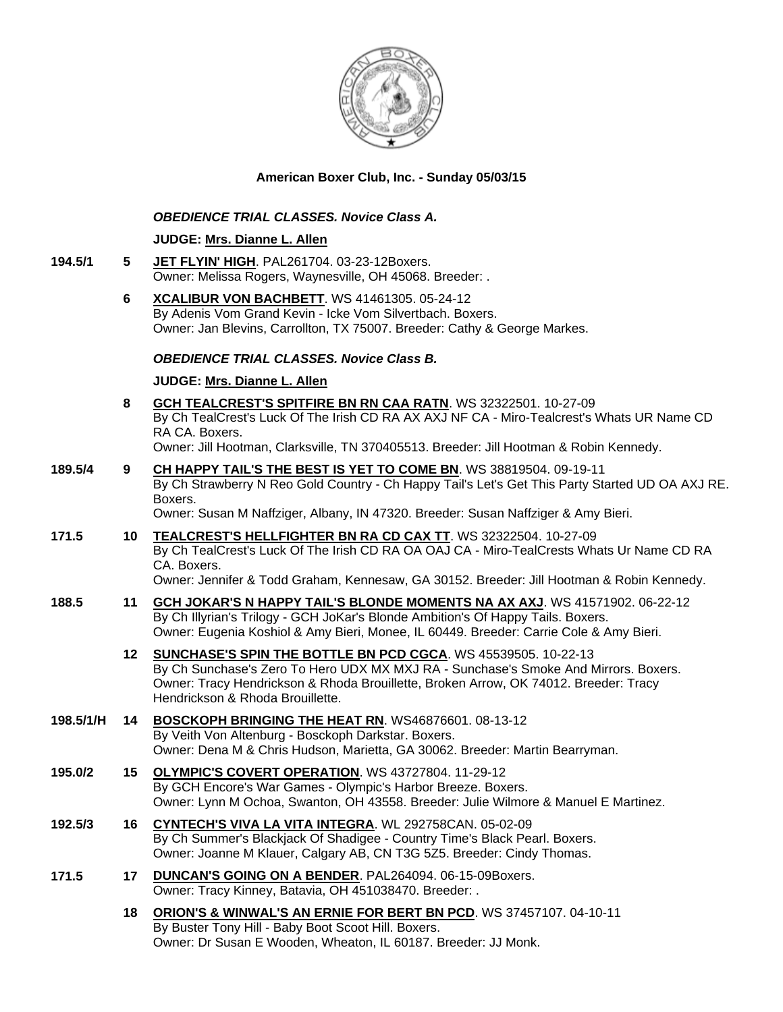

## **American Boxer Club, Inc. - Sunday 05/03/15**

#### *OBEDIENCE TRIAL CLASSES. Novice Class A.*

#### **JUDGE: [Mrs. Dianne L. Allen](http://www.infodog.com/judges/5494/juddat.htm)**

- **194.5/1 5 [JET FLYIN' HIGH](http://www.infodog.com/files/bdogrsl1.prg;makc=PAL261704;mdog=Jet_Flyin__High;wins=all)**. PAL261704. 03-23-12Boxers. Owner: Melissa Rogers, Waynesville, OH 45068. Breeder: .
	- **6 [XCALIBUR VON BACHBETT](http://www.infodog.com/files/bdogrsl1.prg;makc=WS%2041461305;mdog=Xcalibur_Von_Bachbett;wins=all)**. WS 41461305. 05-24-12 By Adenis Vom Grand Kevin - Icke Vom Silvertbach. Boxers. Owner: Jan Blevins, Carrollton, TX 75007. Breeder: Cathy & George Markes.

## *OBEDIENCE TRIAL CLASSES. Novice Class B.*

#### **JUDGE: [Mrs. Dianne L. Allen](http://www.infodog.com/judges/5494/juddat.htm)**

- **8 [GCH TEALCREST'S SPITFIRE BN RN CAA RATN](http://www.infodog.com/files/bdogrsl1.prg;makc=WS%2032322501;mdog=GCH_TealCrest_s_Spitfire_BN_RN_CAA_RATN;wins=all)**. WS 32322501. 10-27-09 By Ch TealCrest's Luck Of The Irish CD RA AX AXJ NF CA - Miro-Tealcrest's Whats UR Name CD RA CA. Boxers. Owner: Jill Hootman, Clarksville, TN 370405513. Breeder: Jill Hootman & Robin Kennedy.
- **189.5/4 9 [CH HAPPY TAIL'S THE BEST IS YET TO COME BN](http://www.infodog.com/files/bdogrsl1.prg;makc=WS%2038819504;mdog=Ch_Happy_Tail_s_The_Best_Is_Yet_To_Come_BN;wins=all)**. WS 38819504. 09-19-11 By Ch Strawberry N Reo Gold Country - Ch Happy Tail's Let's Get This Party Started UD OA AXJ RE. Boxers.

Owner: Susan M Naffziger, Albany, IN 47320. Breeder: Susan Naffziger & Amy Bieri.

- **171.5 10 [TEALCREST'S HELLFIGHTER BN RA CD CAX TT](http://www.infodog.com/files/bdogrsl1.prg;makc=WS%2032322504;mdog=TealCrest_s_Hellfighter_BN_RA_CD_CAX_TT;wins=all)**. WS 32322504. 10-27-09 By Ch TealCrest's Luck Of The Irish CD RA OA OAJ CA - Miro-TealCrests Whats Ur Name CD RA CA. Boxers. Owner: Jennifer & Todd Graham, Kennesaw, GA 30152. Breeder: Jill Hootman & Robin Kennedy.
- **188.5 11 [GCH JOKAR'S N HAPPY TAIL'S BLONDE MOMENTS NA AX AXJ](http://www.infodog.com/files/bdogrsl1.prg;makc=WS%2041571902;mdog=GCH_JoKar_s_N_Happy_Tail_s_Blonde_Moments_NA_AX_AXJ;wins=all)**. WS 41571902. 06-22-12 By Ch Illyrian's Trilogy - GCH JoKar's Blonde Ambition's Of Happy Tails. Boxers. Owner: Eugenia Koshiol & Amy Bieri, Monee, IL 60449. Breeder: Carrie Cole & Amy Bieri.
	- **12 [SUNCHASE'S SPIN THE BOTTLE BN PCD CGCA](http://www.infodog.com/files/bdogrsl1.prg;makc=WS%2045539505;mdog=Sunchase_s_Spin_The_Bottle_BN_PCD_CGCA;wins=all)**. WS 45539505. 10-22-13 By Ch Sunchase's Zero To Hero UDX MX MXJ RA - Sunchase's Smoke And Mirrors. Boxers. Owner: Tracy Hendrickson & Rhoda Brouillette, Broken Arrow, OK 74012. Breeder: Tracy Hendrickson & Rhoda Brouillette.
- **198.5/1/H 14 [BOSCKOPH BRINGING THE HEAT RN](http://www.infodog.com/files/bdogrsl1.prg;makc=WS46876601;mdog=Bosckoph_Bringing_The_Heat_RN;wins=all)**. WS46876601. 08-13-12 By Veith Von Altenburg - Bosckoph Darkstar. Boxers. Owner: Dena M & Chris Hudson, Marietta, GA 30062. Breeder: Martin Bearryman.
- **195.0/2 15 [OLYMPIC'S COVERT OPERATION](http://www.infodog.com/files/bdogrsl1.prg;makc=WS%2043727804;mdog=Olympic_s_Covert_Operation;wins=all)**. WS 43727804. 11-29-12 By GCH Encore's War Games - Olympic's Harbor Breeze. Boxers. Owner: Lynn M Ochoa, Swanton, OH 43558. Breeder: Julie Wilmore & Manuel E Martinez.
- **192.5/3 16 [CYNTECH'S VIVA LA VITA INTEGRA](http://www.infodog.com/files/bdogrsl1.prg;makc=WL%20292758CAN;mdog=Cyntech_s_Viva_La_Vita_Integra;wins=all)**. WL 292758CAN. 05-02-09 By Ch Summer's Blackjack Of Shadigee - Country Time's Black Pearl. Boxers. Owner: Joanne M Klauer, Calgary AB, CN T3G 5Z5. Breeder: Cindy Thomas.
- **171.5 17 [DUNCAN'S GOING ON A BENDER](http://www.infodog.com/files/bdogrsl1.prg;makc=PAL264094;mdog=Duncan_s_Going_On_A_Bender;wins=all)**. PAL264094. 06-15-09Boxers. Owner: Tracy Kinney, Batavia, OH 451038470. Breeder: .
	- **18 [ORION'S & WINWAL'S AN ERNIE FOR BERT BN PCD](http://www.infodog.com/files/bdogrsl1.prg;makc=WS%2037457107;mdog=Orion_s_&_Winwal_s_An_Ernie_For_Bert_BN_PCD;wins=all)**. WS 37457107. 04-10-11 By Buster Tony Hill - Baby Boot Scoot Hill. Boxers. Owner: Dr Susan E Wooden, Wheaton, IL 60187. Breeder: JJ Monk.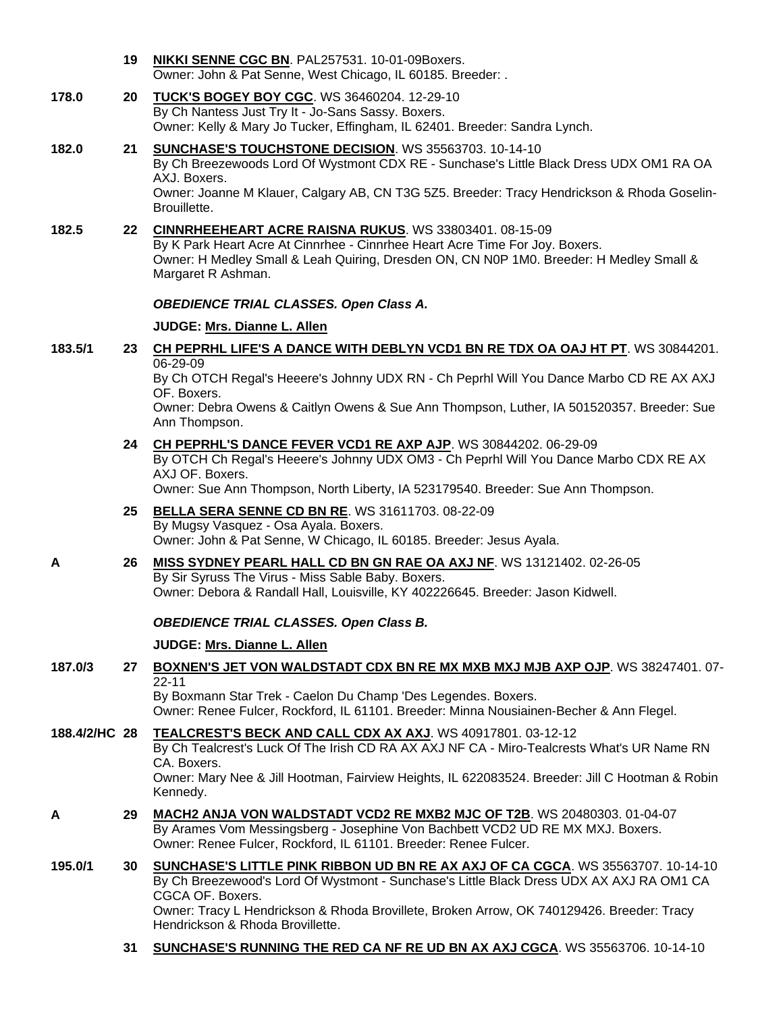|       | 19 | NIKKI SENNE CGC BN. PAL257531. 10-01-09Boxers.<br>Owner: John & Pat Senne, West Chicago, IL 60185. Breeder: .                                                                      |
|-------|----|------------------------------------------------------------------------------------------------------------------------------------------------------------------------------------|
| 178.0 |    | 20 TUCK'S BOGEY BOY CGC. WS 36460204. 12-29-10<br>By Ch Nantess Just Try It - Jo-Sans Sassy. Boxers.<br>Owner: Kelly & Mary Jo Tucker, Effingham, IL 62401. Breeder: Sandra Lynch. |

- **182.0 21 [SUNCHASE'S TOUCHSTONE DECISION](http://www.infodog.com/files/bdogrsl1.prg;makc=WS%2035563703;mdog=Sunchase_s_Touchstone_Decision;wins=all)**. WS 35563703. 10-14-10 By Ch Breezewoods Lord Of Wystmont CDX RE - Sunchase's Little Black Dress UDX OM1 RA OA AXJ. Boxers. Owner: Joanne M Klauer, Calgary AB, CN T3G 5Z5. Breeder: Tracy Hendrickson & Rhoda Goselin-Brouillette.
- **182.5 22 [CINNRHEEHEART ACRE RAISNA RUKUS](http://www.infodog.com/files/bdogrsl1.prg;makc=WS%2033803401;mdog=Cinnrheeheart_Acre_Raisna_Rukus;wins=all)**. WS 33803401. 08-15-09 By K Park Heart Acre At Cinnrhee - Cinnrhee Heart Acre Time For Joy. Boxers. Owner: H Medley Small & Leah Quiring, Dresden ON, CN N0P 1M0. Breeder: H Medley Small & Margaret R Ashman.

#### *OBEDIENCE TRIAL CLASSES. Open Class A.*

#### **JUDGE: [Mrs. Dianne L. Allen](http://www.infodog.com/judges/5494/juddat.htm)**

**183.5/1 23 [CH PEPRHL LIFE'S A DANCE WITH DEBLYN VCD1 BN RE TDX OA OAJ HT PT](http://www.infodog.com/files/bdogrsl1.prg;makc=WS%2030844201;mdog=Ch_Peprhl_Life_s_A_Dance_With_DebLyn_VCD1_BN_RE_TDX_OA_OAJ_HT_PT;wins=all)**. WS 30844201. 06-29-09

By Ch OTCH Regal's Heeere's Johnny UDX RN - Ch Peprhl Will You Dance Marbo CD RE AX AXJ OF. Boxers.

Owner: Debra Owens & Caitlyn Owens & Sue Ann Thompson, Luther, IA 501520357. Breeder: Sue Ann Thompson.

#### **24 [CH PEPRHL'S DANCE FEVER VCD1 RE AXP AJP](http://www.infodog.com/files/bdogrsl1.prg;makc=WS%2030844202;mdog=Ch_Peprhl_s_Dance_Fever_VCD1_RE_AXP_AJP;wins=all)**. WS 30844202. 06-29-09

By OTCH Ch Regal's Heeere's Johnny UDX OM3 - Ch Peprhl Will You Dance Marbo CDX RE AX AXJ OF. Boxers.

Owner: Sue Ann Thompson, North Liberty, IA 523179540. Breeder: Sue Ann Thompson.

- **25 [BELLA SERA SENNE CD BN RE](http://www.infodog.com/files/bdogrsl1.prg;makc=WS%2031611703;mdog=Bella_Sera_Senne_CD_BN_RE;wins=all)**. WS 31611703. 08-22-09 By Mugsy Vasquez - Osa Ayala. Boxers. Owner: John & Pat Senne, W Chicago, IL 60185. Breeder: Jesus Ayala.
- **A 26 [MISS SYDNEY PEARL HALL CD BN GN RAE OA AXJ NF](http://www.infodog.com/files/bdogrsl1.prg;makc=WS%2013121402;mdog=Miss_Sydney_Pearl_Hall_CD_BN_GN_RAE_OA_AXJ_NF;wins=all)**. WS 13121402. 02-26-05 By Sir Syruss The Virus - Miss Sable Baby. Boxers.

Owner: Debora & Randall Hall, Louisville, KY 402226645. Breeder: Jason Kidwell.

## *OBEDIENCE TRIAL CLASSES. Open Class B.*

## **JUDGE: [Mrs. Dianne L. Allen](http://www.infodog.com/judges/5494/juddat.htm)**

**187.0/3 27 [BOXNEN'S JET VON WALDSTADT CDX BN RE MX MXB MXJ MJB AXP OJP](http://www.infodog.com/files/bdogrsl1.prg;makc=WS%2038247401;mdog=Boxnen_s_Jet_Von_Waldstadt_CDX_BN_RE_MX_MXB_MXJ_MJB_AXP_OJP;wins=all)**. WS 38247401. 07- 22-11

By Boxmann Star Trek - Caelon Du Champ 'Des Legendes. Boxers. Owner: Renee Fulcer, Rockford, IL 61101. Breeder: Minna Nousiainen-Becher & Ann Flegel.

**188.4/2/HC 28 [TEALCREST'S BECK AND CALL CDX AX AXJ](http://www.infodog.com/files/bdogrsl1.prg;makc=WS%2040917801;mdog=Tealcrest_s_Beck_And_Call_CDX_AX_AXJ;wins=all)**. WS 40917801. 03-12-12 By Ch Tealcrest's Luck Of The Irish CD RA AX AXJ NF CA - Miro-Tealcrests What's UR Name RN CA. Boxers. Owner: Mary Nee & Jill Hootman, Fairview Heights, IL 622083524. Breeder: Jill C Hootman & Robin Kennedy.

- **A 29 [MACH2 ANJA VON WALDSTADT VCD2 RE MXB2 MJC OF T2B](http://www.infodog.com/files/bdogrsl1.prg;makc=WS%2020480303;mdog=MACH2_Anja_Von_Waldstadt_VCD2_RE_MXB2_MJC_OF_T2B;wins=all)**. WS 20480303. 01-04-07 By Arames Vom Messingsberg - Josephine Von Bachbett VCD2 UD RE MX MXJ. Boxers. Owner: Renee Fulcer, Rockford, IL 61101. Breeder: Renee Fulcer.
- **195.0/1 30 [SUNCHASE'S LITTLE PINK RIBBON UD BN RE AX AXJ OF CA CGCA](http://www.infodog.com/files/bdogrsl1.prg;makc=WS%2035563707;mdog=Sunchase_s_Little_Pink_Ribbon_UD_BN_RE_AX_AXJ_OF_CA_CGCA;wins=all)**. WS 35563707. 10-14-10 By Ch Breezewood's Lord Of Wystmont - Sunchase's Little Black Dress UDX AX AXJ RA OM1 CA CGCA OF. Boxers. Owner: Tracy L Hendrickson & Rhoda Brovillete, Broken Arrow, OK 740129426. Breeder: Tracy Hendrickson & Rhoda Brovillette.
	- **31 [SUNCHASE'S RUNNING THE RED CA NF RE UD BN AX AXJ CGCA](http://www.infodog.com/files/bdogrsl1.prg;makc=WS%2035563706;mdog=Sunchase_s_Running_The_Red_CA_NF_RE_UD_BN_AX_AXJ_CGCA;wins=all)**. WS 35563706. 10-14-10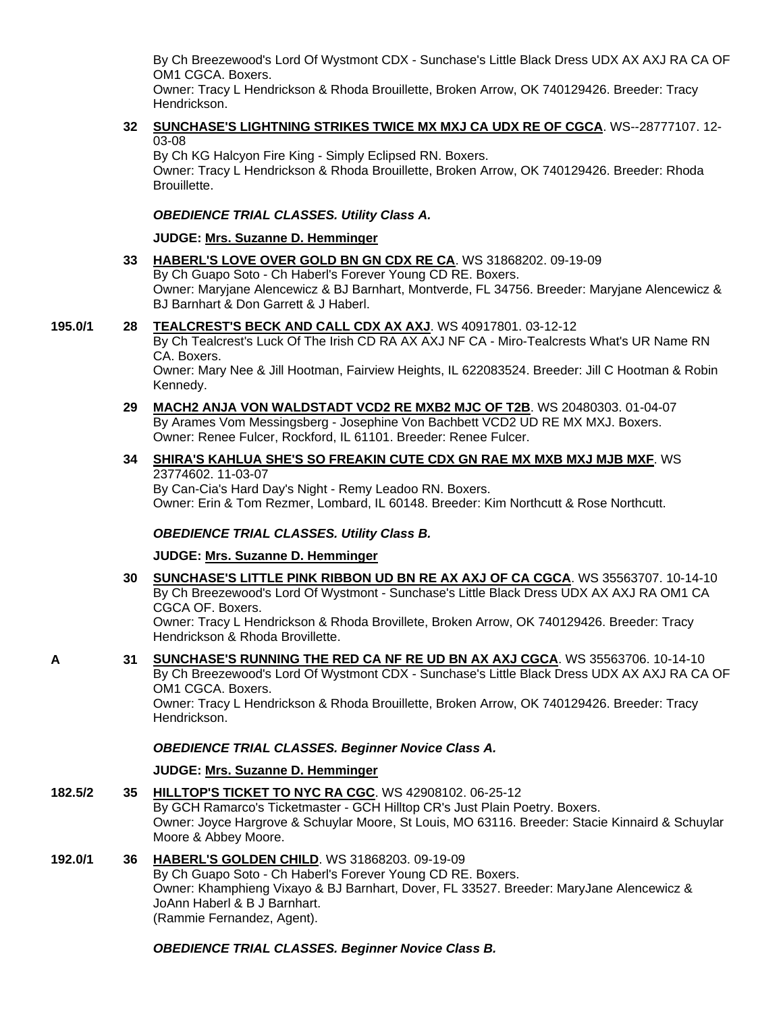By Ch Breezewood's Lord Of Wystmont CDX - Sunchase's Little Black Dress UDX AX AXJ RA CA OF OM1 CGCA. Boxers.

Owner: Tracy L Hendrickson & Rhoda Brouillette, Broken Arrow, OK 740129426. Breeder: Tracy Hendrickson.

## **32 [SUNCHASE'S LIGHTNING STRIKES TWICE MX MXJ CA UDX RE OF CGCA](http://www.infodog.com/files/bdogrsl1.prg;makc=WS--28777107;mdog=Sunchase_s_Lightning_Strikes_Twice_MX_MXJ_CA_UDX_RE_OF_CGCA;wins=all)**. WS--28777107. 12- 03-08

By Ch KG Halcyon Fire King - Simply Eclipsed RN. Boxers. Owner: Tracy L Hendrickson & Rhoda Brouillette, Broken Arrow, OK 740129426. Breeder: Rhoda Brouillette.

## *OBEDIENCE TRIAL CLASSES. Utility Class A.*

#### **JUDGE: [Mrs. Suzanne D. Hemminger](http://www.infodog.com/judges/15146/juddat.htm)**

**33 [HABERL'S LOVE OVER GOLD BN GN CDX RE CA](http://www.infodog.com/files/bdogrsl1.prg;makc=WS%2031868202;mdog=Haberl_s_Love_Over_Gold_BN_GN_CDX_RE_CA;wins=all)**. WS 31868202. 09-19-09 By Ch Guapo Soto - Ch Haberl's Forever Young CD RE. Boxers. Owner: Maryjane Alencewicz & BJ Barnhart, Montverde, FL 34756. Breeder: Maryjane Alencewicz & BJ Barnhart & Don Garrett & J Haberl.

#### **195.0/1 28 [TEALCREST'S BECK AND CALL CDX AX AXJ](http://www.infodog.com/files/bdogrsl1.prg;makc=WS%2040917801;mdog=Tealcrest_s_Beck_And_Call_CDX_AX_AXJ;wins=all)**. WS 40917801. 03-12-12

By Ch Tealcrest's Luck Of The Irish CD RA AX AXJ NF CA - Miro-Tealcrests What's UR Name RN CA. Boxers.

Owner: Mary Nee & Jill Hootman, Fairview Heights, IL 622083524. Breeder: Jill C Hootman & Robin Kennedy.

**29 [MACH2 ANJA VON WALDSTADT VCD2 RE MXB2 MJC OF T2B](http://www.infodog.com/files/bdogrsl1.prg;makc=WS%2020480303;mdog=MACH2_Anja_Von_Waldstadt_VCD2_RE_MXB2_MJC_OF_T2B;wins=all)**. WS 20480303. 01-04-07 By Arames Vom Messingsberg - Josephine Von Bachbett VCD2 UD RE MX MXJ. Boxers. Owner: Renee Fulcer, Rockford, IL 61101. Breeder: Renee Fulcer.

#### **34 [SHIRA'S KAHLUA SHE'S SO FREAKIN CUTE CDX GN RAE MX MXB MXJ MJB MXF](http://www.infodog.com/files/bdogrsl1.prg;makc=WS%2023774602;mdog=Shira_s_Kahlua_She_s_So_Freakin_Cute_CDX_GN_RAE_MX_MXB_MXJ_MJB_MXF;wins=all)**. WS 23774602. 11-03-07

By Can-Cia's Hard Day's Night - Remy Leadoo RN. Boxers. Owner: Erin & Tom Rezmer, Lombard, IL 60148. Breeder: Kim Northcutt & Rose Northcutt.

## *OBEDIENCE TRIAL CLASSES. Utility Class B.*

#### **JUDGE: [Mrs. Suzanne D. Hemminger](http://www.infodog.com/judges/15146/juddat.htm)**

- **30 [SUNCHASE'S LITTLE PINK RIBBON UD BN RE AX AXJ OF CA CGCA](http://www.infodog.com/files/bdogrsl1.prg;makc=WS%2035563707;mdog=Sunchase_s_Little_Pink_Ribbon_UD_BN_RE_AX_AXJ_OF_CA_CGCA;wins=all)**. WS 35563707. 10-14-10 By Ch Breezewood's Lord Of Wystmont - Sunchase's Little Black Dress UDX AX AXJ RA OM1 CA CGCA OF. Boxers. Owner: Tracy L Hendrickson & Rhoda Brovillete, Broken Arrow, OK 740129426. Breeder: Tracy Hendrickson & Rhoda Brovillette.
- **A 31 [SUNCHASE'S RUNNING THE RED CA NF RE UD BN AX AXJ CGCA](http://www.infodog.com/files/bdogrsl1.prg;makc=WS%2035563706;mdog=Sunchase_s_Running_The_Red_CA_NF_RE_UD_BN_AX_AXJ_CGCA;wins=all)**. WS 35563706. 10-14-10 By Ch Breezewood's Lord Of Wystmont CDX - Sunchase's Little Black Dress UDX AX AXJ RA CA OF OM1 CGCA. Boxers.

Owner: Tracy L Hendrickson & Rhoda Brouillette, Broken Arrow, OK 740129426. Breeder: Tracy Hendrickson.

## *OBEDIENCE TRIAL CLASSES. Beginner Novice Class A.*

## **JUDGE: [Mrs. Suzanne D. Hemminger](http://www.infodog.com/judges/15146/juddat.htm)**

**182.5/2 35 [HILLTOP'S TICKET TO NYC](http://www.infodog.com/files/bdogrsl1.prg;makc=WS%2042908102;mdog=Hilltop_s_Ticket_To_NYC_RA_CGC;wins=all) RA CGC**. WS 42908102. 06-25-12 By GCH Ramarco's Ticketmaster - GCH Hilltop CR's Just Plain Poetry. Boxers. Owner: Joyce Hargrove & Schuylar Moore, St Louis, MO 63116. Breeder: Stacie Kinnaird & Schuylar Moore & Abbey Moore.

#### **192.0/1 36 [HABERL'S GOLDEN CHILD](http://www.infodog.com/files/bdogrsl1.prg;makc=WS%2031868203;mdog=Haberl_s_Golden_Child;wins=all)**. WS 31868203. 09-19-09 By Ch Guapo Soto - Ch Haberl's Forever Young CD RE. Boxers. Owner: Khamphieng Vixayo & BJ Barnhart, Dover, FL 33527. Breeder: MaryJane Alencewicz & JoAnn Haberl & B J Barnhart. (Rammie Fernandez, Agent).

## *OBEDIENCE TRIAL CLASSES. Beginner Novice Class B.*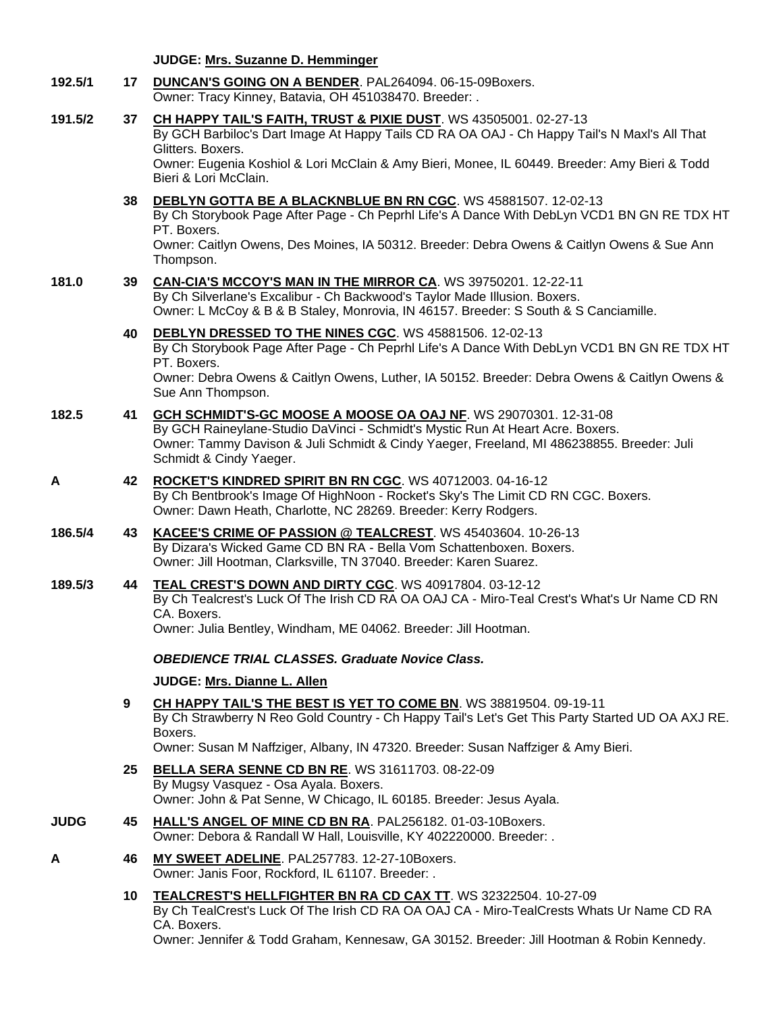**JUDGE: [Mrs. Suzanne D. Hemminger](http://www.infodog.com/judges/15146/juddat.htm)**

| 192.5/1     |    | 17 DUNCAN'S GOING ON A BENDER. PAL264094. 06-15-09Boxers.<br>Owner: Tracy Kinney, Batavia, OH 451038470. Breeder: .                                                                                                                                                                                                        |
|-------------|----|----------------------------------------------------------------------------------------------------------------------------------------------------------------------------------------------------------------------------------------------------------------------------------------------------------------------------|
| 191.5/2     | 37 | <b>CH HAPPY TAIL'S FAITH, TRUST &amp; PIXIE DUST. WS 43505001. 02-27-13</b><br>By GCH Barbiloc's Dart Image At Happy Tails CD RA OA OAJ - Ch Happy Tail's N Maxl's All That<br>Glitters. Boxers.<br>Owner: Eugenia Koshiol & Lori McClain & Amy Bieri, Monee, IL 60449. Breeder: Amy Bieri & Todd<br>Bieri & Lori McClain. |
|             |    | 38 DEBLYN GOTTA BE A BLACKNBLUE BN RN CGC. WS 45881507. 12-02-13<br>By Ch Storybook Page After Page - Ch Peprhl Life's A Dance With DebLyn VCD1 BN GN RE TDX HT<br>PT. Boxers.<br>Owner: Caitlyn Owens, Des Moines, IA 50312. Breeder: Debra Owens & Caitlyn Owens & Sue Ann<br>Thompson.                                  |
| 181.0       |    | 39 CAN-CIA'S MCCOY'S MAN IN THE MIRROR CA. WS 39750201. 12-22-11<br>By Ch Silverlane's Excalibur - Ch Backwood's Taylor Made Illusion. Boxers.<br>Owner: L McCoy & B & B Staley, Monrovia, IN 46157. Breeder: S South & S Canciamille.                                                                                     |
|             | 40 | DEBLYN DRESSED TO THE NINES CGC. WS 45881506. 12-02-13<br>By Ch Storybook Page After Page - Ch Peprhl Life's A Dance With DebLyn VCD1 BN GN RE TDX HT<br>PT. Boxers.<br>Owner: Debra Owens & Caitlyn Owens, Luther, IA 50152. Breeder: Debra Owens & Caitlyn Owens &<br>Sue Ann Thompson.                                  |
| 182.5       | 41 | GCH SCHMIDT'S-GC MOOSE A MOOSE OA OAJ NF. WS 29070301. 12-31-08<br>By GCH Raineylane-Studio DaVinci - Schmidt's Mystic Run At Heart Acre. Boxers.<br>Owner: Tammy Davison & Juli Schmidt & Cindy Yaeger, Freeland, MI 486238855. Breeder: Juli<br>Schmidt & Cindy Yaeger.                                                  |
| A           | 42 | ROCKET'S KINDRED SPIRIT BN RN CGC. WS 40712003. 04-16-12<br>By Ch Bentbrook's Image Of HighNoon - Rocket's Sky's The Limit CD RN CGC. Boxers.<br>Owner: Dawn Heath, Charlotte, NC 28269. Breeder: Kerry Rodgers.                                                                                                           |
| 186.5/4     | 43 | KACEE'S CRIME OF PASSION @ TEALCREST. WS 45403604. 10-26-13<br>By Dizara's Wicked Game CD BN RA - Bella Vom Schattenboxen. Boxers.<br>Owner: Jill Hootman, Clarksville, TN 37040. Breeder: Karen Suarez.                                                                                                                   |
| 189.5/3     | 44 | TEAL CREST'S DOWN AND DIRTY CGC. WS 40917804. 03-12-12<br>By Ch Tealcrest's Luck Of The Irish CD RA OA OAJ CA - Miro-Teal Crest's What's Ur Name CD RN<br>CA. Boxers.<br>Owner: Julia Bentley, Windham, ME 04062. Breeder: Jill Hootman.                                                                                   |
|             |    | <b>OBEDIENCE TRIAL CLASSES. Graduate Novice Class.</b>                                                                                                                                                                                                                                                                     |
|             |    | JUDGE: Mrs. Dianne L. Allen                                                                                                                                                                                                                                                                                                |
|             | 9  | CH HAPPY TAIL'S THE BEST IS YET TO COME BN. WS 38819504. 09-19-11<br>By Ch Strawberry N Reo Gold Country - Ch Happy Tail's Let's Get This Party Started UD OA AXJ RE.<br>Boxers.<br>Owner: Susan M Naffziger, Albany, IN 47320. Breeder: Susan Naffziger & Amy Bieri.                                                      |
|             | 25 | <b>BELLA SERA SENNE CD BN RE. WS 31611703. 08-22-09</b><br>By Mugsy Vasquez - Osa Ayala. Boxers.<br>Owner: John & Pat Senne, W Chicago, IL 60185. Breeder: Jesus Ayala.                                                                                                                                                    |
| <b>JUDG</b> |    | 45 HALL'S ANGEL OF MINE CD BN RA. PAL256182. 01-03-10Boxers.<br>Owner: Debora & Randall W Hall, Louisville, KY 402220000. Breeder: .                                                                                                                                                                                       |
| A           | 46 | MY SWEET ADELINE. PAL257783. 12-27-10Boxers.<br>Owner: Janis Foor, Rockford, IL 61107. Breeder: .                                                                                                                                                                                                                          |
|             |    | 10 TEALCREST'S HELLFIGHTER BN RA CD CAX TT. WS 32322504. 10-27-09<br>By Ch TealCrest's Luck Of The Irish CD RA OA OAJ CA - Miro-TealCrests Whats Ur Name CD RA<br>CA. Boxers.<br>Owner: Jennifer & Todd Graham, Kennesaw, GA 30152. Breeder: Jill Hootman & Robin Kennedy.                                                 |